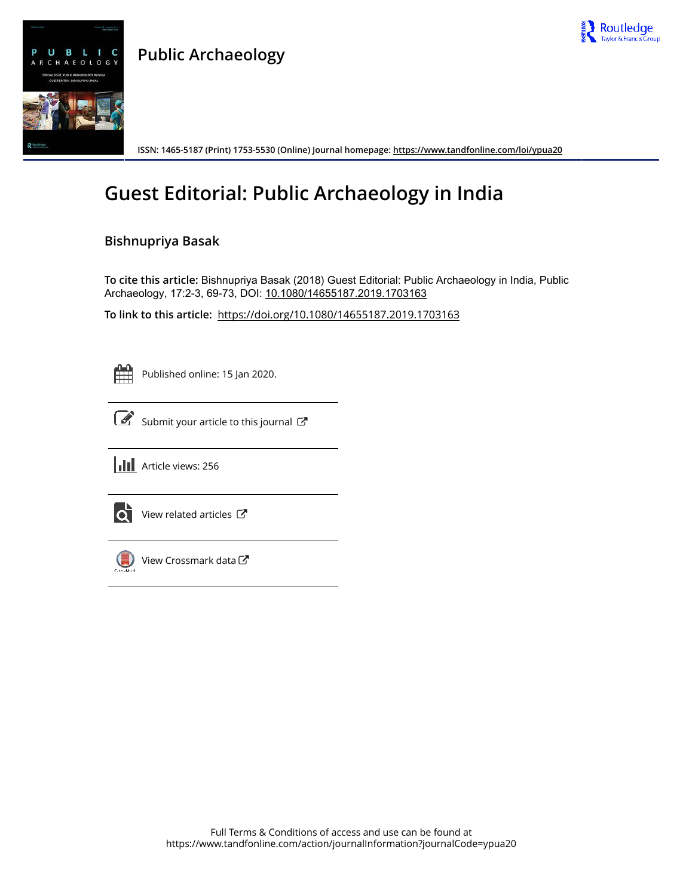

### **Public Archaeology**



**ISSN: 1465-5187 (Print) 1753-5530 (Online) Journal homepage: https://www.tandfonline.com/loi/ypua20**

## **Guest Editorial: Public Archaeology in India**

### **Bishnupriya Basak**

**To cite this article:** Bishnupriya Basak (2018) Guest Editorial: Public Archaeology in India, Public Archaeology, 17:2-3, 69-73, DOI: 10.1080/14655187.2019.1703163

**To link to this article:** https://doi.org/10.1080/14655187.2019.1703163

Published online: 15 Jan 2020.



 $\overrightarrow{S}$  Submit your article to this journal  $\overrightarrow{S}$ 





 $\bullet$  View related articles  $\mathbb{Z}$ 



 $\bigodot$  View Crossmark data  $\mathbb{Z}$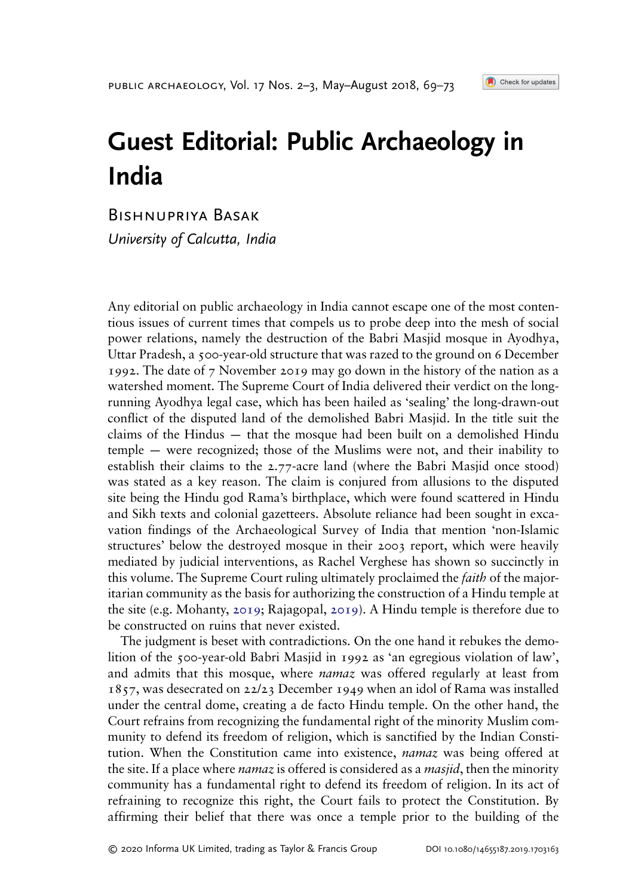# Guest Editorial: Public Archaeology in India

Bishnupriya Basak

University of Calcutta, India

Any editorial on public archaeology in India cannot escape one of the most contentious issues of current times that compels us to probe deep into the mesh of social power relations, namely the destruction of the Babri Masjid mosque in Ayodhya, Uttar Pradesh, a 500-year-old structure that was razed to the ground on 6 December 1992. The date of 7 November 2019 may go down in the history of the nation as a watershed moment. The Supreme Court of India delivered their verdict on the longrunning Ayodhya legal case, which has been hailed as 'sealing' the long-drawn-out conflict of the disputed land of the demolished Babri Masjid. In the title suit the claims of the Hindus — that the mosque had been built on a demolished Hindu temple — were recognized; those of the Muslims were not, and their inability to establish their claims to the 2.77-acre land (where the Babri Masjid once stood) was stated as a key reason. The claim is conjured from allusions to the disputed site being the Hindu god Rama's birthplace, which were found scattered in Hindu and Sikh texts and colonial gazetteers. Absolute reliance had been sought in excavation findings of the Archaeological Survey of India that mention 'non-Islamic structures' below the destroyed mosque in their 2003 report, which were heavily mediated by judicial interventions, as Rachel Verghese has shown so succinctly in this volume. The Supreme Court ruling ultimately proclaimed the *faith* of the majoritarian community as the basis for authorizing the construction of a Hindu temple at the site (e.g. Mohanty, 2019; Rajagopal, 2019). A Hindu temple is therefore due to be constructed on ruins that never existed.

The judgment is beset with contradictions. On the one hand it rebukes the demolition of the 500-year-old Babri Masjid in 1992 as 'an egregious violation of law', and admits that this mosque, where *namaz* was offered regularly at least from 1857, was desecrated on 22/23 December 1949 when an idol of Rama was installed under the central dome, creating a de facto Hindu temple. On the other hand, the Court refrains from recognizing the fundamental right of the minority Muslim community to defend its freedom of religion, which is sanctified by the Indian Constitution. When the Constitution came into existence, *namaz* was being offered at the site. If a place where *namaz* is offered is considered as a *masjid*, then the minority community has a fundamental right to defend its freedom of religion. In its act of refraining to recognize this right, the Court fails to protect the Constitution. By affirming their belief that there was once a temple prior to the building of the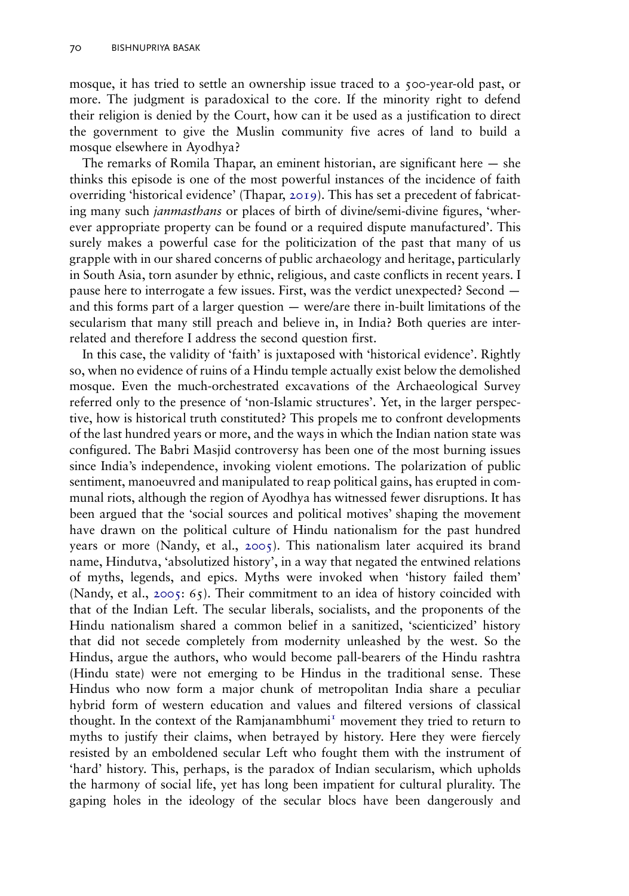mosque, it has tried to settle an ownership issue traced to a 500-year-old past, or more. The judgment is paradoxical to the core. If the minority right to defend their religion is denied by the Court, how can it be used as a justification to direct the government to give the Muslin community five acres of land to build a mosque elsewhere in Ayodhya?

The remarks of Romila Thapar, an eminent historian, are significant here — she thinks this episode is one of the most powerful instances of the incidence of faith overriding 'historical evidence' (Thapar, 2019). This has set a precedent of fabricating many such *janmasthans* or places of birth of divine/semi-divine figures, 'wherever appropriate property can be found or a required dispute manufactured'. This surely makes a powerful case for the politicization of the past that many of us grapple with in our shared concerns of public archaeology and heritage, particularly in South Asia, torn asunder by ethnic, religious, and caste conflicts in recent years. I pause here to interrogate a few issues. First, was the verdict unexpected? Second and this forms part of a larger question — were/are there in-built limitations of the secularism that many still preach and believe in, in India? Both queries are interrelated and therefore I address the second question first.

In this case, the validity of 'faith' is juxtaposed with 'historical evidence'. Rightly so, when no evidence of ruins of a Hindu temple actually exist below the demolished mosque. Even the much-orchestrated excavations of the Archaeological Survey referred only to the presence of 'non-Islamic structures'. Yet, in the larger perspective, how is historical truth constituted? This propels me to confront developments of the last hundred years or more, and the ways in which the Indian nation state was configured. The Babri Masjid controversy has been one of the most burning issues since India's independence, invoking violent emotions. The polarization of public sentiment, manoeuvred and manipulated to reap political gains, has erupted in communal riots, although the region of Ayodhya has witnessed fewer disruptions. It has been argued that the 'social sources and political motives' shaping the movement have drawn on the political culture of Hindu nationalism for the past hundred years or more (Nandy, et al., 2005). This nationalism later acquired its brand name, Hindutva, 'absolutized history', in a way that negated the entwined relations of myths, legends, and epics. Myths were invoked when 'history failed them' (Nandy, et al., 2005: 65). Their commitment to an idea of history coincided with that of the Indian Left. The secular liberals, socialists, and the proponents of the Hindu nationalism shared a common belief in a sanitized, 'scienticized' history that did not secede completely from modernity unleashed by the west. So the Hindus, argue the authors, who would become pall-bearers of the Hindu rashtra (Hindu state) were not emerging to be Hindus in the traditional sense. These Hindus who now form a major chunk of metropolitan India share a peculiar hybrid form of western education and values and filtered versions of classical thought. In the context of the Ramjanambhumi $<sup>T</sup>$  movement they tried to return to</sup> myths to justify their claims, when betrayed by history. Here they were fiercely resisted by an emboldened secular Left who fought them with the instrument of 'hard' history. This, perhaps, is the paradox of Indian secularism, which upholds the harmony of social life, yet has long been impatient for cultural plurality. The gaping holes in the ideology of the secular blocs have been dangerously and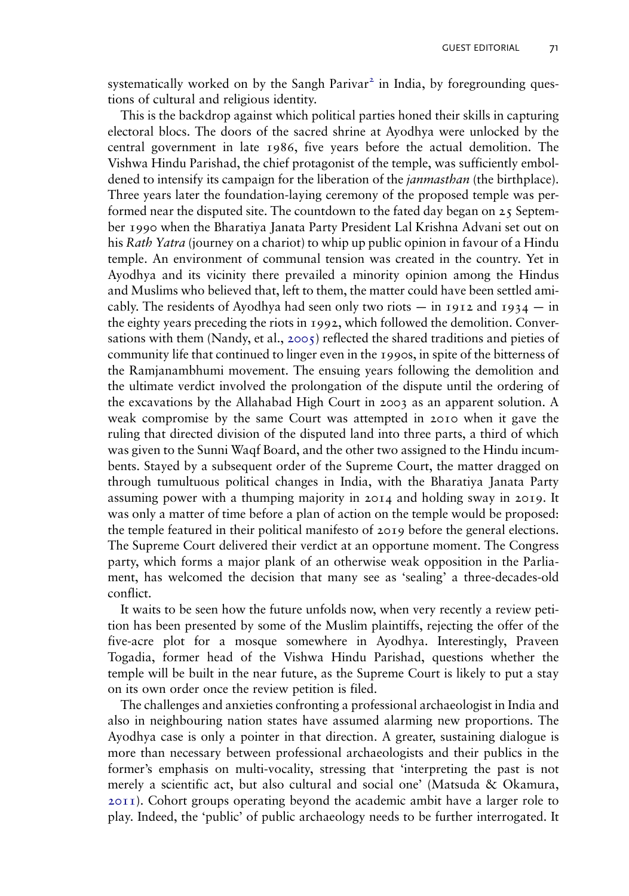systematically worked on by the Sangh Parivar<sup>2</sup> in India, by foregrounding questions of cultural and religious identity.

This is the backdrop against which political parties honed their skills in capturing electoral blocs. The doors of the sacred shrine at Ayodhya were unlocked by the central government in late 1986, five years before the actual demolition. The Vishwa Hindu Parishad, the chief protagonist of the temple, was sufficiently emboldened to intensify its campaign for the liberation of the *janmasthan* (the birthplace). Three years later the foundation-laying ceremony of the proposed temple was performed near the disputed site. The countdown to the fated day began on  $25$  September 1990 when the Bharatiya Janata Party President Lal Krishna Advani set out on his *Rath Yatra* (journey on a chariot) to whip up public opinion in favour of a Hindu temple. An environment of communal tension was created in the country. Yet in Ayodhya and its vicinity there prevailed a minority opinion among the Hindus and Muslims who believed that, left to them, the matter could have been settled amicably. The residents of Ayodhya had seen only two riots  $-$  in 1912 and 1934  $-$  in the eighty years preceding the riots in 1992, which followed the demolition. Conversations with them (Nandy, et al., 2005) reflected the shared traditions and pieties of community life that continued to linger even in the 1990s, in spite of the bitterness of the Ramjanambhumi movement. The ensuing years following the demolition and the ultimate verdict involved the prolongation of the dispute until the ordering of the excavations by the Allahabad High Court in 2003 as an apparent solution. A weak compromise by the same Court was attempted in 2010 when it gave the ruling that directed division of the disputed land into three parts, a third of which was given to the Sunni Waqf Board, and the other two assigned to the Hindu incumbents. Stayed by a subsequent order of the Supreme Court, the matter dragged on through tumultuous political changes in India, with the Bharatiya Janata Party assuming power with a thumping majority in 2014 and holding sway in 2019. It was only a matter of time before a plan of action on the temple would be proposed: the temple featured in their political manifesto of 2019 before the general elections. The Supreme Court delivered their verdict at an opportune moment. The Congress party, which forms a major plank of an otherwise weak opposition in the Parliament, has welcomed the decision that many see as 'sealing' a three-decades-old conflict.

It waits to be seen how the future unfolds now, when very recently a review petition has been presented by some of the Muslim plaintiffs, rejecting the offer of the five-acre plot for a mosque somewhere in Ayodhya. Interestingly, Praveen Togadia, former head of the Vishwa Hindu Parishad, questions whether the temple will be built in the near future, as the Supreme Court is likely to put a stay on its own order once the review petition is filed.

The challenges and anxieties confronting a professional archaeologist in India and also in neighbouring nation states have assumed alarming new proportions. The Ayodhya case is only a pointer in that direction. A greater, sustaining dialogue is more than necessary between professional archaeologists and their publics in the former's emphasis on multi-vocality, stressing that 'interpreting the past is not merely a scientific act, but also cultural and social one' (Matsuda & Okamura, 2011). Cohort groups operating beyond the academic ambit have a larger role to play. Indeed, the 'public' of public archaeology needs to be further interrogated. It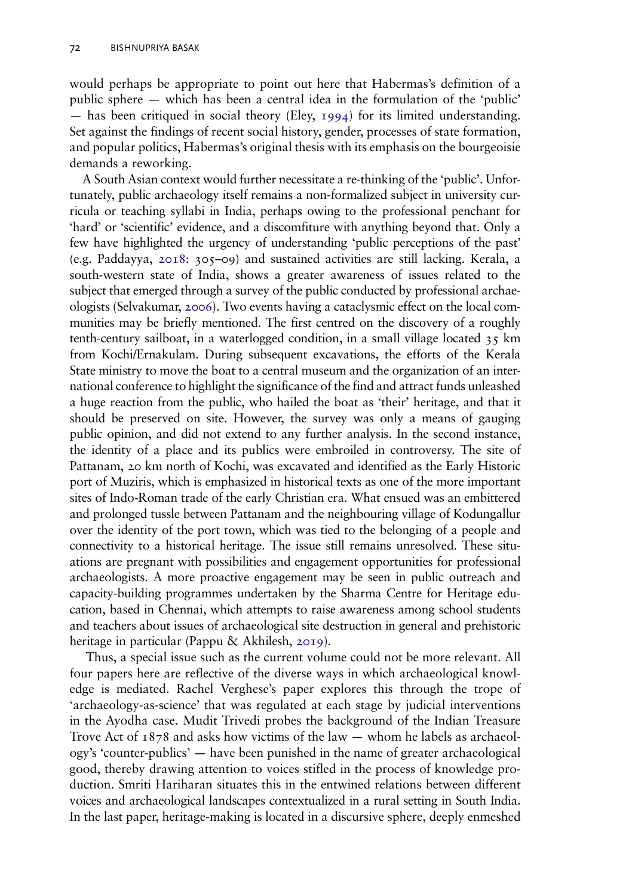would perhaps be appropriate to point out here that Habermas's definition of a public sphere — which has been a central idea in the formulation of the 'public' — has been critiqued in social theory (Eley,  $1994$ ) for its limited understanding. Set against the findings of recent social history, gender, processes of state formation, and popular politics, Habermas's original thesis with its emphasis on the bourgeoisie demands a reworking.

A South Asian context would further necessitate a re-thinking of the 'public'. Unfortunately, public archaeology itself remains a non-formalized subject in university curricula or teaching syllabi in India, perhaps owing to the professional penchant for 'hard' or 'scientific' evidence, and a discomfiture with anything beyond that. Only a few have highlighted the urgency of understanding 'public perceptions of the past' (e.g. Paddayya, 2018: 305–09) and sustained activities are still lacking. Kerala, a south-western state of India, shows a greater awareness of issues related to the subject that emerged through a survey of the public conducted by professional archaeologists (Selvakumar, 2006). Two events having a cataclysmic effect on the local communities may be briefly mentioned. The first centred on the discovery of a roughly tenth-century sailboat, in a waterlogged condition, in a small village located  $35 \text{ km}$ from Kochi/Ernakulam. During subsequent excavations, the efforts of the Kerala State ministry to move the boat to a central museum and the organization of an international conference to highlight the significance of the find and attract funds unleashed a huge reaction from the public, who hailed the boat as 'their' heritage, and that it should be preserved on site. However, the survey was only a means of gauging public opinion, and did not extend to any further analysis. In the second instance, the identity of a place and its publics were embroiled in controversy. The site of Pattanam, 20 km north of Kochi, was excavated and identified as the Early Historic port of Muziris, which is emphasized in historical texts as one of the more important sites of Indo-Roman trade of the early Christian era. What ensued was an embittered and prolonged tussle between Pattanam and the neighbouring village of Kodungallur over the identity of the port town, which was tied to the belonging of a people and connectivity to a historical heritage. The issue still remains unresolved. These situations are pregnant with possibilities and engagement opportunities for professional archaeologists. A more proactive engagement may be seen in public outreach and capacity-building programmes undertaken by the Sharma Centre for Heritage education, based in Chennai, which attempts to raise awareness among school students and teachers about issues of archaeological site destruction in general and prehistoric heritage in particular (Pappu & Akhilesh, 2019).

Thus, a special issue such as the current volume could not be more relevant. All four papers here are reflective of the diverse ways in which archaeological knowledge is mediated. Rachel Verghese's paper explores this through the trope of 'archaeology-as-science' that was regulated at each stage by judicial interventions in the Ayodha case. Mudit Trivedi probes the background of the Indian Treasure Trove Act of  $1878$  and asks how victims of the law — whom he labels as archaeology's 'counter-publics' — have been punished in the name of greater archaeological good, thereby drawing attention to voices stifled in the process of knowledge production. Smriti Hariharan situates this in the entwined relations between different voices and archaeological landscapes contextualized in a rural setting in South India. In the last paper, heritage-making is located in a discursive sphere, deeply enmeshed